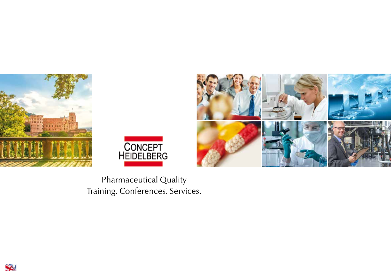





Pharmaceutical Quality Training. Conferences. Services.

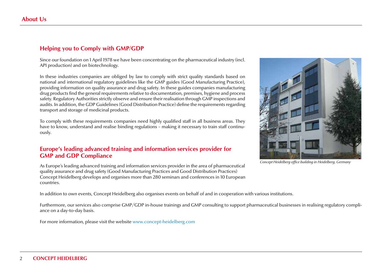# **Helping you to Comply with GMP/GDP**

Since our foundation on 1 April 1978 we have been concentrating on the pharmaceutical industry (incl. API production) and on biotechnology.

In these industries companies are obliged by law to comply with strict quality standards based on national and international regulatory guidelines like the GMP guides (Good Manufacturing Practice), providing information on quality assurance and drug safety. In these guides companies manufacturing drug products find the general requirements relative to documentation, premises, hygiene and process safety. Regulatory Authorities strictly observe and ensure their realisation through GMP inspections and audits. In addition, the GDP Guidelines (Good Distribution Practice) define the requirements regarding transport and storage of medicinal products.

To comply with these requirements companies need highly qualified staff in all business areas. They have to know, understand and realise binding regulations – making it necessary to train staff continuously.

#### **Europe's leading advanced training and information services provider for GMP and GDP Compliance**

As Europe's leading advanced training and information services provider in the area of pharmaceutical quality assurance and drug safety (Good Manufacturing Practices and Good Distribution Practices) Concept Heidelberg develops and organises more than 280 seminars and conferences in 10 European countries.

In addition to own events, Concept Heidelberg also organises events on behalf of and in cooperation with various institutions.

Furthermore, our services also comprise GMP/GDP in-house trainings and GMP consulting to support pharmaceutical businesses in realising regulatory compliance on a day-to-day basis.

For more information, please visit the website www.concept-heidelberg.com



*Concept Heidelberg office building in Heidelberg, Germany*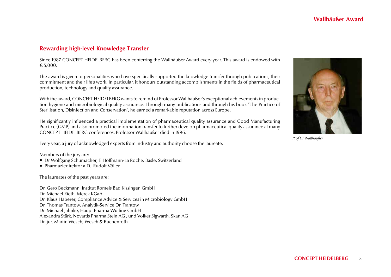# **Rewarding high-level Knowledge Transfer**

Since 1987 CONCEPT HEIDELBERG has been conferring the Wallhäußer Award every year. This award is endowed with  $€ 5,000.$ 

The award is given to personalities who have specifically supported the knowledge transfer through publications, their commitment and their life's work. In particular, it honours outstanding accomplishments in the fields of pharmaceutical production, technology and quality assurance.

With the award, CONCEPT HEIDELBERG wants to remind of Professor Wallhäußer's exceptional achievements in production hygiene and microbiological quality assurance. Through many publications and through his book "The Practice of Sterilisation, Disinfection and Conservation", he earned a remarkable reputation across Europe.

He significantly influenced a practical implementation of pharmaceutical quality assurance and Good Manufacturing Practice (GMP) and also promoted the information transfer to further develop pharmaceutical quality assurance at many CONCEPT HEIDELBERG conferences. Professor Wallhäußer died in 1996.

Every year, a jury of acknowledged experts from industry and authority choose the laureate.

Members of the jury are:

- Dr Wolfgang Schumacher, F. Hoffmann-La Roche, Basle, Switzerland
- Pharmaziedirektor a.D. Rudolf Völler

The laureates of the past years are:

Dr. Gero Beckmann, Institut Romeis Bad Kissingen GmbH Dr. Michael Rieth, Merck KGaA Dr. Klaus Haberer, Compliance Advice & Services in Microbiology GmbH Dr. Thomas Trantow, Analytik-Service Dr. Trantow Dr. Michael Jahnke, Haupt Pharma Wülfing GmbH Alexandra Stärk, Novartis Pharma Stein AG , und Volker Sigwarth, Skan AG Dr. jur. Martin Wesch, Wesch & Buchenroth



*Prof Dr Wallhäußer*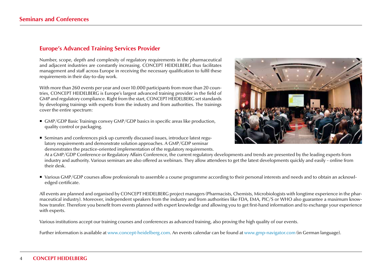## **Europe's Advanced Training Services Provider**

Number, scope, depth and complexity of regulatory requirements in the pharmaceutical and adjacent industries are constantly increasing. CONCEPT HEIDELBERG thus facilitates management and staff across Europe in receiving the necessary qualification to fulfil these requirements in their day-to-day work.

With more than 260 events per year and over 10.000 participants from more than 20 countries, CONCEPT HEIDELBERG is Europe's largest advanced training provider in the field of GMP and regulatory compliance. Right from the start, CONCEPT HEIDELBERG set standards by developing trainings with experts from the industry and from authorities. The trainings cover the entire spectrum:

- GMP/GDP Basic Trainings convey GMP/GDP basics in specific areas like production, quality control or packaging.
- Seminars and conferences pick up currently discussed issues, introduce latest regulatory requirements and demonstrate solution approaches. A GMP/GDP seminar demonstrates the practice-oriented implementation of the regulatory requirements.



At a GMP/GDP Conference or Regulatory Affairs Conference, the current regulatory developments and trends are presented by the leading experts from industry and authority. Various seminars are also offered as webinars. They allow attendees to get the latest developments quickly and easily – online from their desk.

■ Various GMP/GDP courses allow professionals to assemble a course programme according to their personal interests and needs and to obtain an acknowledged certificate.

All events are planned and organised by CONCEPT HEIDELBERG project managers (Pharmacists, Chemists, Microbiologists with longtime experience in the pharmaceutical industry). Moreover, independent speakers from the industry and from authorities like FDA, EMA, PIC/S or WHO also guarantee a maximum knowhow transfer. Therefore you benefit from events planned with expert knowledge and allowing you to get first-hand information and to exchange your experience with experts.

Various institutions accept our training courses and conferences as advanced training, also proving the high quality of our events.

Further information is available at www.concept-heidelberg.com. An events calendar can be found at www.gmp-navigator.com (in German language).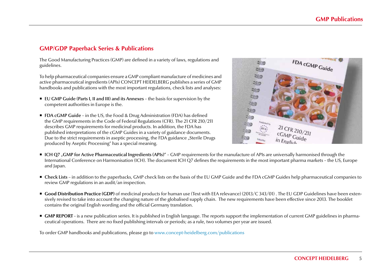## **GMP/GDP Paperback Series & Publications**

The Good Manufacturing Practices (GMP) are defined in a variety of laws, regulations and guidelines.

To help pharmaceutical companies ensure a GMP compliant manufacture of medicines and active pharmaceutical ingredients (APIs) CONCEPT HEIDELBERG publishes a series of GMP handbooks and publications with the most important regulations, check lists and analyses:

- EU GMP Guide (Parts I, II and III) and its Annexes the basis for supervision by the competent authorities in Europe is the.
- FDA cGMP Guide in the US, the Food & Drug Administration (FDA) has defined the GMP requirements in the Code of Federal Regulations (CFR). The 21 CFR 210/211 describes GMP requirements for medicinal products. In addition, the FDA has published interpretations of the cGMP Guides in a variety of guidance documents. Due to the strict requirements in aseptic processing, the FDA guidance "Sterile Drugs produced by Aseptic Processing" has a special meaning.



- ICH Q7 <sub>"</sub>GMP for Active Pharmaceutical Ingredients (APIs)<sup>"</sup> GMP requirements for the manufacture of APIs are universally harmonised through the International Conference on Harmonisation (ICH). The document ICH Q7 defines the requirements in the most important pharma markets – the US, Europe and Japan.
- Check Lists in addition to the paperbacks, GMP check lists on the basis of the EU GMP Guide and the FDA cGMP Guides help pharmaceutical companies to review GMP regulations in an audit/an inspection.
- Good Distribution Practice (GDP) of medicinal products for human use (Text with EEA relevance) (2013/C 343/01). The EU GDP Guidelines have been extensively revised to take into account the changing nature of the globalised supply chain. The new requirements have been effective since 2013. The booklet contains the original English wording and the official Germany translation.
- **GMP REPORT** is a new publication series. It is published in English language. The reports support the implementation of current GMP guidelines in pharmaceutical operations. There are no fixed publishing intervals or periods; as a rule, two volumes per year are issued.

To order GMP handbooks and publications, please go to www.concept-heidelberg.com/publications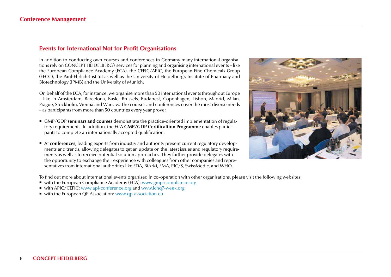#### **Events for International Not for Profit Organisations**

In addition to conducting own courses and conferences in Germany many international organisations rely on CONCEPT HEIDELBERG's services for planning and organising international events – like the European Compliance Academy (ECA), the CEFIC/APIC, the European Fine Chemicals Group (EFCG), the Paul-Ehrlich-Institut as well as the University of Heidelberg's Institute of Pharmacy and Biotechnology (IPMB) and the University of Munich.

On behalf of the ECA, for instance, we organise more than 50 international events throughout Europe – like in Amsterdam, Barcelona, Basle, Brussels, Budapest, Copenhagen, Lisbon, Madrid, Milan, Prague, Stockholm, Vienna and Warsaw. The courses and conferences cover the most diverse needs – as participants from more than 50 countries every year prove:

- GMP/GDP **seminars and courses** demonstrate the practice-oriented implementation of regulatory requirements. In addition, the ECA **GMP/GDP Certificattion Programme** enables participants to complete an internationally accepted qualification.
- At **conferences**, leading experts from industry and authority present current regulatory developments and trends, allowing delegates to get an update on the latest issues and regulatory requirements as well as to receive potential solution approaches. They further provide delegates with the opportunity to exchange their experience with colleagues from other companies and representatives from international authorities like FDA, BfArM, EMA, PIC/S, SwissMedic, and WHO.



To find out more about international events organised in co-operation with other organisations, please visit the following websites:

- with the European Compliance Academy ( $\widetilde{EC}$ A): www.gmp-compliance.org
- with APIC/CEFIC: www.api-conference.org and www.ichq7-week.org
- with the European QP Association: www.qp-association.eu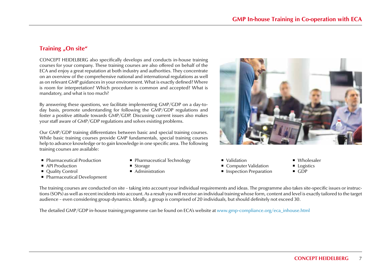## **Training "On site"**

CONCEPT HEIDELBERG also specifically develops and conducts in-house training courses for your company. These training courses are also offered on behalf of the ECA and enjoy a great reputation at both industry and authorities. They concentrate on an overview of the comprehensive national and international regulations as well as on relevant GMP guidances in your environment. What is exactly defined? Where is room for interpretation? Which procedure is common and accepted? What is mandatory, and what is too much?

By answering these questions, we facilitate implementing GMP/GDP on a day-today basis, promote understanding for following the GMP/GDP regulations and foster a positive attitude towards GMP/GDP. Discussing current issues also makes your staff aware of GMP/GDP regulations and solves existing problems.

Our GMP/GDP training differentiates between basic and special training courses. While basic training courses provide GMP fundamentals, special training courses help to advance knowledge or to gain knowledge in one specific area. The following training courses are available:

- **Pharmaceutical Production**
- API Production
- Quality Control
- Pharmaceutical Development
- **Pharmaceutical Technology**
- Storage
- Administration
- Validation
	- Computer Validation
	- **Inspection Preparation**
- Wholesaler
- **Logistics**
- $GDP$

The training courses are conducted on site – taking into account your individual requirements and ideas. The programme also takes site-specific issues or instructions (SOPs) as well as recent incidents into account. As a result you will receive an individual training whose form, content and level is exactly tailored to the target audience – even considering group dynamics. Ideally, a group is comprised of 20 individuals, but should definitely not exceed 30.

The detailed GMP/GDP in-house training programme can be found on ECA's website at www.gmp-compliance.org/eca\_inhouse.html

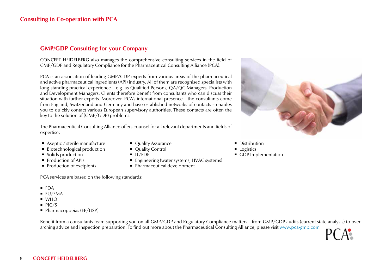# **GMP/GDP Consulting for your Company**

CONCEPT HEIDELBERG also manages the comprehensive consulting services in the field of GMP/GDP and Regulatory Compliance for the Pharmaceutical Consulting Alliance (PCA).

PCA is an association of leading GMP/GDP experts from various areas of the pharmaceutical and active pharmaceutical ingredients (API) industry. All of them are recognised specialists with long-standing practical experience – e.g. as Qualified Persons, QA/QC Managers, Production and Development Managers. Clients therefore benefit from consultants who can discuss their situation with further experts. Moreover, PCA's international presence – the consultants come from England, Switzerland and Germany and have established networks of contacts – enables you to quickly contact various European supervisory authorities. These contacts are often the key to the solution of (GMP/GDP) problems.

The Pharmaceutical Consulting Alliance offers counsel for all relevant departments and fields of expertise:

- Aseptic / sterile manufacture
- Biotechnological production
- Solids production
- Production of APIs
- Production of excipients
- Quality Assurance
- Quality Control
- $IT/EDP$
- Engineering (water systems, HVAC systems)
- Pharmaceutical development

PCA services are based on the following standards:

- FDA
- $EUVEMA$
- $WHO$
- $PIC/S$
- Pharmacopoeias (EP/USP)

Benefit from a consultants team supporting you on all GMP/GDP and Regulatory Compliance matters – from GMP/GDP audits (current state analysis) to overarching advice and inspection preparation. To find out more about the Pharmaceutical Consulting Alliance, please visit www.pca-gmp.com

• Distribution

- **Logistics**
- GDP Implementation

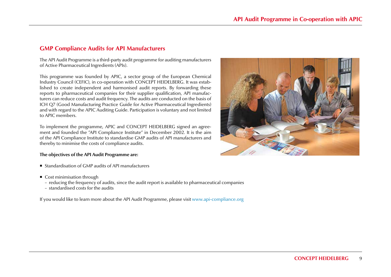#### **GMP Compliance Audits for API Manufacturers**

The API Audit Programme is a third-party audit programme for auditing manufacturers of Active Pharmaceutical Ingredients (APIs).

This programme was founded by APIC, a sector group of the European Chemical Industry Council (CEFIC), in co-operation with CONCEPT HEIDELBERG. It was established to create independent and harmonised audit reports. By forwarding these reports to pharmaceutical companies for their supplier qualification, API manufacturers can reduce costs and audit frequency. The audits are conducted on the basis of ICH Q7 (Good Manufacturing Practice Guide for Active Pharmaceutical Ingredients) and with regard to the APIC Auditing Guide. Participation is voluntary and not limited to APIC members.

To implement the programme, APIC and CONCEPT HEIDELBERG signed an agreement and founded the "API Compliance Institute" in December 2002. It is the aim of the API Compliance Institute to standardise GMP audits of API manufacturers and thereby to minimise the costs of compliance audits.

#### **The objectives of the API Audit Programme are:**

- Standardisation of GMP audits of API manufacturers
- Cost minimisation through
	- reducing the frequency of audits, since the audit report is available to pharmaceutical companies
	- standardised costs for the audits

If you would like to learn more about the API Audit Programme, please visit www.api-compliance.org

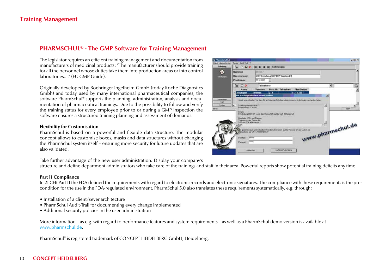## **PHARMSCHUL® - The GMP Software for Training Management**

The legislator requires an efficient training management and documentation from manufacturers of medicinal products: "The manufacturer should provide training for all the personnel whose duties take them into production areas or into control laboratories…." (EU GMP Guide).

Originally developed by Boehringer Ingelheim GmbH (today Roche Diagnostics Gmbh) and today used by many international pharmaceutical companies, the software PharmSchul® supports the planning, administration, analysis and documentation of pharmaceutical trainings. Due to the possibility to follow and verify the training status for every employee prior to or during a GMP inspection the software ensures a structured training planning and assessment of demands.

#### **Flexibility for Customisation**

PharmSchul is based on a powerful and flexible data structure. The modular concept allows to customise boxes, masks and data structures without changing the PharmSchul system itself – ensuring more security for future updates that are also validated.

Take further advantage of the new user administration. Display your company's

structure and define department administrators who take care of the trainings and staff in their area. Powerful reports show potential training deficits any time.

#### **Part 11 Compliance**

In 21 CFR Part 11 the FDA defined the requirements with regard to electronic records and electronic signatures. The compliance with these requirements is the precondition for the use in the FDA-regulated environment. PharmSchul 5.0 also translates these requirements systematically, e.g. through:

- Installation of a client/sever architecture
- PharmSchul Audit-Trail for documenting every change implemented
- Additional security policies in the user administration

More information – as e.g. with regard to performance features and system requirements – as well as a PharmSchul demo version is available at www.pharmschul.de.

PharmSchul® is registered trademark of CONCEPT HEIDELBERG GmbH, Heidelberg.

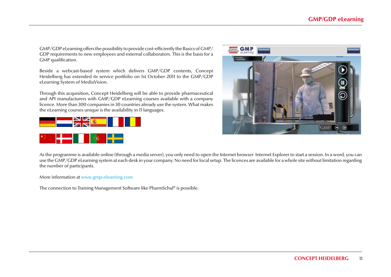GMP/GDP eLearning offers the possibility to provide cost-efficiently the Basics of GMP/ GDP requirements to new employees and external collaborators. This is the basis for a GMP qualification.

Beside a webcast-based system which delivers GMP/GDP contents, Concept Heidelberg has extended its service portfolio on 1st October 2011 to the GMP/GDP eLearning System of MediaVision.

Through this acquisition, Concept Heidelberg will be able to provide pharmaceutical and API manufacturers with GMP/GDP eLearning courses available with a company licence. More than 300 companies in 30 countries already use the system. What makes the eLearning courses unique is the availability in 11 languages.







As the programme is available online (through a media server), you only need to open the Internet browser Internet Explorer to start a session. In a word, you can use the GMP/GDP eLearning system at each desk in your company. No need for local setup. The licences are available for a whole site without limitation regarding the number of participants.

More information at www.gmp-elearning.com

The connection to Training Management Software like PharmSchul® is possible.